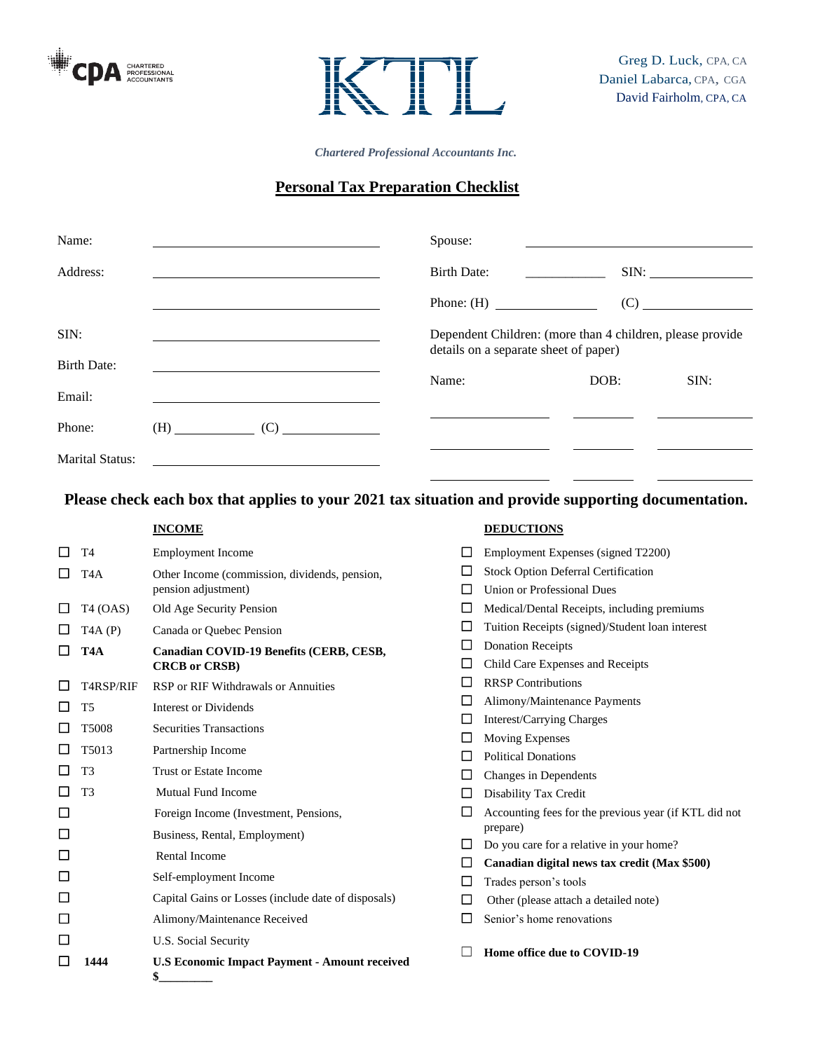



*Chartered Professional Accountants Inc.*

# **Personal Tax Preparation Checklist**

| Name:                  |  | Spouse:                                                                                            |      |      |
|------------------------|--|----------------------------------------------------------------------------------------------------|------|------|
| Address:               |  | <b>Birth Date:</b>                                                                                 |      |      |
|                        |  | Phone: $(H)$                                                                                       |      | (C)  |
| SIM:                   |  | Dependent Children: (more than 4 children, please provide<br>details on a separate sheet of paper) |      |      |
| <b>Birth Date:</b>     |  |                                                                                                    |      |      |
| Email:                 |  | Name:                                                                                              | DOB: | SIM: |
| Phone:                 |  |                                                                                                    |      |      |
| <b>Marital Status:</b> |  |                                                                                                    |      |      |

**Please check each box that applies to your 2021 tax situation and provide supporting documentation.**

**INCOME**

# **DEDUCTIONS**

| □      | T <sub>4</sub>   | <b>Employment Income</b>                             | $\Box$ | Employment Expenses (signed T2200)                    |  |
|--------|------------------|------------------------------------------------------|--------|-------------------------------------------------------|--|
| □      | T <sub>4</sub> A | Other Income (commission, dividends, pension,        | ⊔      | <b>Stock Option Deferral Certification</b>            |  |
|        |                  | pension adjustment)                                  | $\Box$ | Union or Professional Dues                            |  |
| □      | T4 (OAS)         | Old Age Security Pension                             | $\Box$ | Medical/Dental Receipts, including premiums           |  |
| $\Box$ | TAA(P)           | Canada or Quebec Pension                             | $\Box$ | Tuition Receipts (signed)/Student loan interest       |  |
| □      | T <sub>4</sub> A | Canadian COVID-19 Benefits (CERB, CESB,              | $\Box$ | <b>Donation Receipts</b>                              |  |
|        |                  | <b>CRCB</b> or CRSB)                                 |        | Child Care Expenses and Receipts                      |  |
| □      | T4RSP/RIF        | RSP or RIF Withdrawals or Annuities                  | □      | <b>RRSP Contributions</b>                             |  |
| $\Box$ | T <sub>5</sub>   | <b>Interest or Dividends</b>                         | $\Box$ | Alimony/Maintenance Payments                          |  |
| $\Box$ | T5008            | <b>Securities Transactions</b>                       | $\Box$ | Interest/Carrying Charges                             |  |
|        |                  |                                                      | $\Box$ | <b>Moving Expenses</b>                                |  |
| $\Box$ | T5013            | Partnership Income                                   | Ш      | <b>Political Donations</b>                            |  |
| $\Box$ | T <sub>3</sub>   | Trust or Estate Income                               | $\Box$ | Changes in Dependents                                 |  |
| $\Box$ | T <sub>3</sub>   | <b>Mutual Fund Income</b>                            | $\Box$ | Disability Tax Credit                                 |  |
| $\Box$ |                  | Foreign Income (Investment, Pensions,                | □      | Accounting fees for the previous year (if KTL did not |  |
| $\Box$ |                  | Business, Rental, Employment)                        |        | prepare)                                              |  |
| $\Box$ |                  | <b>Rental Income</b>                                 | ⊔      | Do you care for a relative in your home?              |  |
|        |                  |                                                      | $\Box$ | Canadian digital news tax credit (Max \$500)          |  |
| $\Box$ |                  | Self-employment Income                               | $\Box$ | Trades person's tools                                 |  |
| $\Box$ |                  | Capital Gains or Losses (include date of disposals)  | $\Box$ | Other (please attach a detailed note)                 |  |
| $\Box$ |                  | Alimony/Maintenance Received                         | П      | Senior's home renovations                             |  |
| $\Box$ |                  | U.S. Social Security                                 |        |                                                       |  |
| $\Box$ | 1444             | <b>U.S Economic Impact Payment - Amount received</b> |        | Home office due to COVID-19                           |  |
|        |                  | \$                                                   |        |                                                       |  |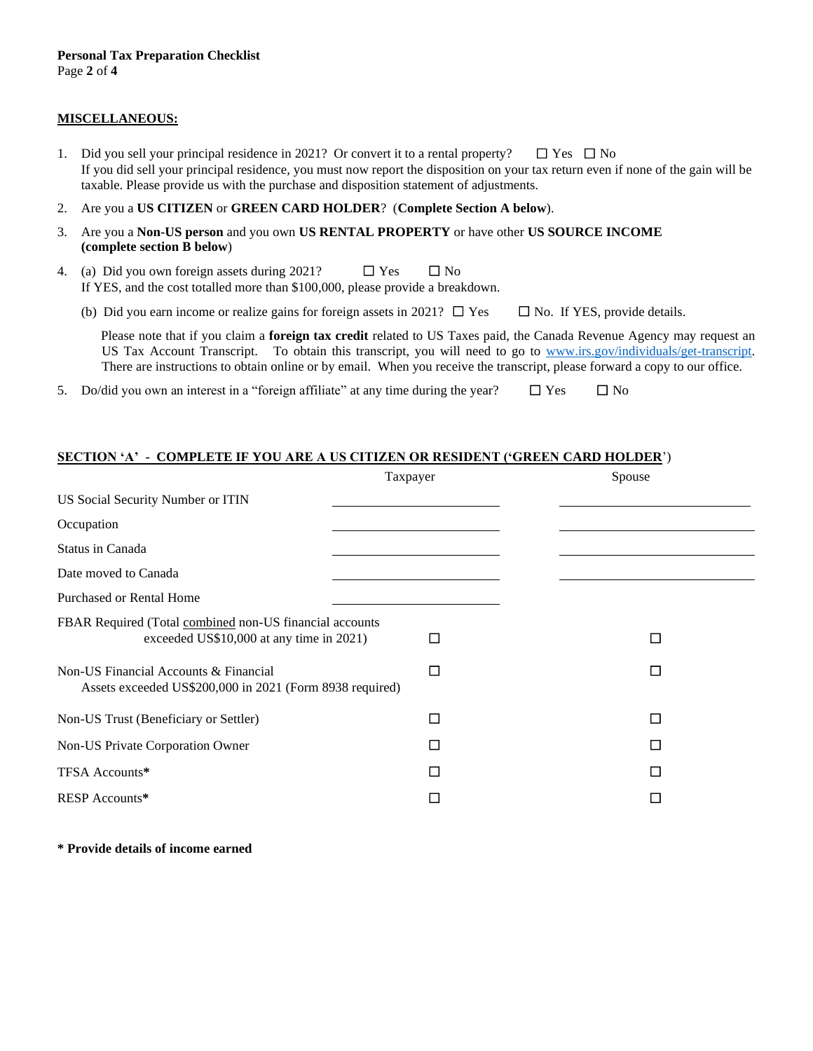# **MISCELLANEOUS:**

- 1. Did you sell your principal residence in 2021? Or convert it to a rental property?  $\Box$  Yes  $\Box$  No If you did sell your principal residence, you must now report the disposition on your tax return even if none of the gain will be taxable. Please provide us with the purchase and disposition statement of adjustments.
- 2. Are you a **US CITIZEN** or **GREEN CARD HOLDER**? (**Complete Section A below**).
- 3. Are you a **Non-US person** and you own **US RENTAL PROPERTY** or have other **US SOURCE INCOME (complete section B below**)
- 4. (a) Did you own foreign assets during 2021?  $\Box$  Yes  $\Box$  No If YES, and the cost totalled more than \$100,000, please provide a breakdown.
	- (b) Did you earn income or realize gains for foreign assets in 2021?  $\Box$  Yes  $\Box$  No. If YES, provide details.

Please note that if you claim a **foreign tax credit** related to US Taxes paid, the Canada Revenue Agency may request an US Tax Account Transcript. To obtain this transcript, you will need to go to [www.irs.gov/individuals/get-transcript.](http://www.irs.gov/individuals/get-transcript)  There are instructions to obtain online or by email. When you receive the transcript, please forward a copy to our office.

5. Do/did you own an interest in a "foreign affiliate" at any time during the year?  $\Box$  Yes  $\Box$  No

#### **SECTION 'A' - COMPLETE IF YOU ARE A US CITIZEN OR RESIDENT ('GREEN CARD HOLDER**')

|                                                                                                     | Taxpayer | Spouse |  |
|-----------------------------------------------------------------------------------------------------|----------|--------|--|
| US Social Security Number or ITIN                                                                   |          |        |  |
| Occupation                                                                                          |          |        |  |
| Status in Canada                                                                                    |          |        |  |
| Date moved to Canada                                                                                |          |        |  |
| <b>Purchased or Rental Home</b>                                                                     |          |        |  |
| FBAR Required (Total combined non-US financial accounts<br>exceeded US\$10,000 at any time in 2021) | П        | П      |  |
| Non-US Financial Accounts & Financial<br>Assets exceeded US\$200,000 in 2021 (Form 8938 required)   | □        | $\Box$ |  |
| Non-US Trust (Beneficiary or Settler)                                                               | П        | □      |  |
| Non-US Private Corporation Owner                                                                    | П        | П      |  |
| TFSA Accounts*                                                                                      | П        | $\Box$ |  |
| RESP Accounts*                                                                                      | $\Box$   | ப      |  |

**\* Provide details of income earned**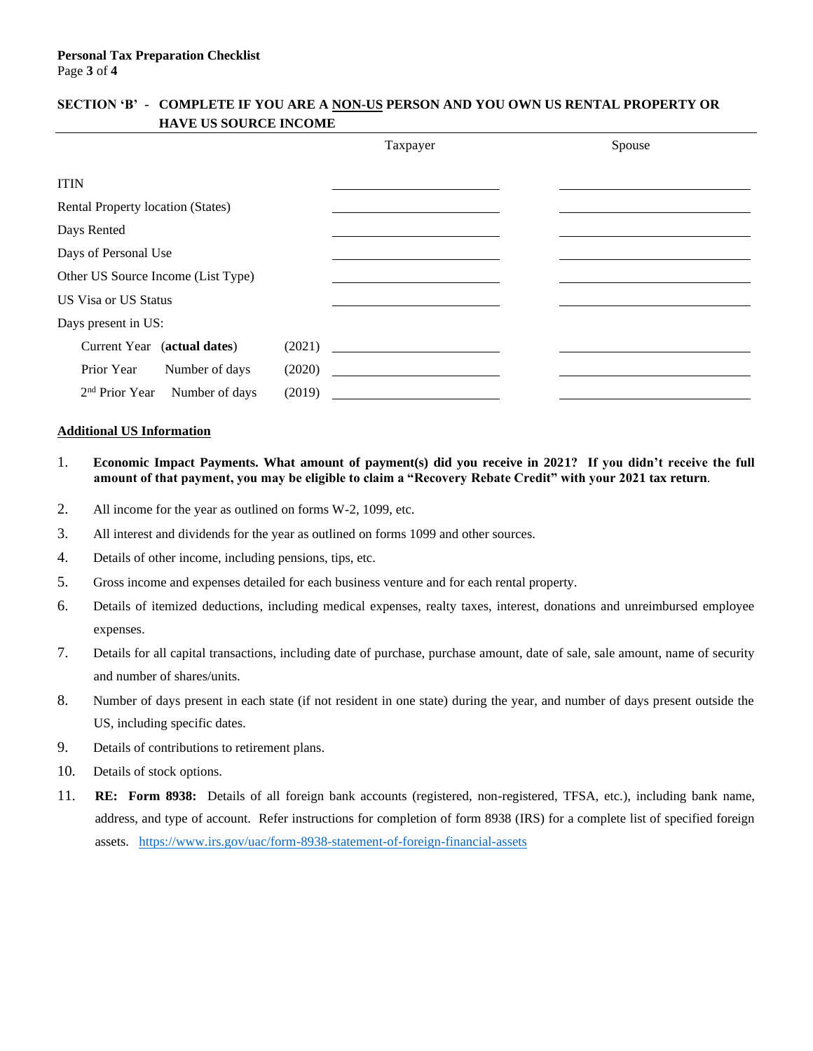# **SECTION 'B' - COMPLETE IF YOU ARE A NON-US PERSON AND YOU OWN US RENTAL PROPERTY OR HAVE US SOURCE INCOME**

|                                              |        | Taxpayer | Spouse |
|----------------------------------------------|--------|----------|--------|
| <b>ITIN</b>                                  |        |          |        |
| Rental Property location (States)            |        |          |        |
| Days Rented                                  |        |          |        |
| Days of Personal Use                         |        |          |        |
| Other US Source Income (List Type)           |        |          |        |
| <b>US Visa or US Status</b>                  |        |          |        |
| Days present in US:                          |        |          |        |
| Current Year (actual dates)                  |        | (2021)   |        |
| Prior Year<br>Number of days                 | (2020) |          |        |
| 2 <sup>nd</sup> Prior Year<br>Number of days | (2019) |          |        |

### **Additional US Information**

- 1. **Economic Impact Payments. What amount of payment(s) did you receive in 2021? If you didn't receive the full amount of that payment, you may be eligible to claim a "Recovery Rebate Credit" with your 2021 tax return**.
- 2. All income for the year as outlined on forms W-2, 1099, etc.
- 3. All interest and dividends for the year as outlined on forms 1099 and other sources.
- 4. Details of other income, including pensions, tips, etc.
- 5. Gross income and expenses detailed for each business venture and for each rental property.
- 6. Details of itemized deductions, including medical expenses, realty taxes, interest, donations and unreimbursed employee expenses.
- 7. Details for all capital transactions, including date of purchase, purchase amount, date of sale, sale amount, name of security and number of shares/units.
- 8. Number of days present in each state (if not resident in one state) during the year, and number of days present outside the US, including specific dates.
- 9. Details of contributions to retirement plans.
- 10. Details of stock options.
- 11. **RE: Form 8938:** Details of all foreign bank accounts (registered, non-registered, TFSA, etc.), including bank name, address, and type of account. Refer instructions for completion of form 8938 (IRS) for a complete list of specified foreign assets. <https://www.irs.gov/uac/form-8938-statement-of-foreign-financial-assets>